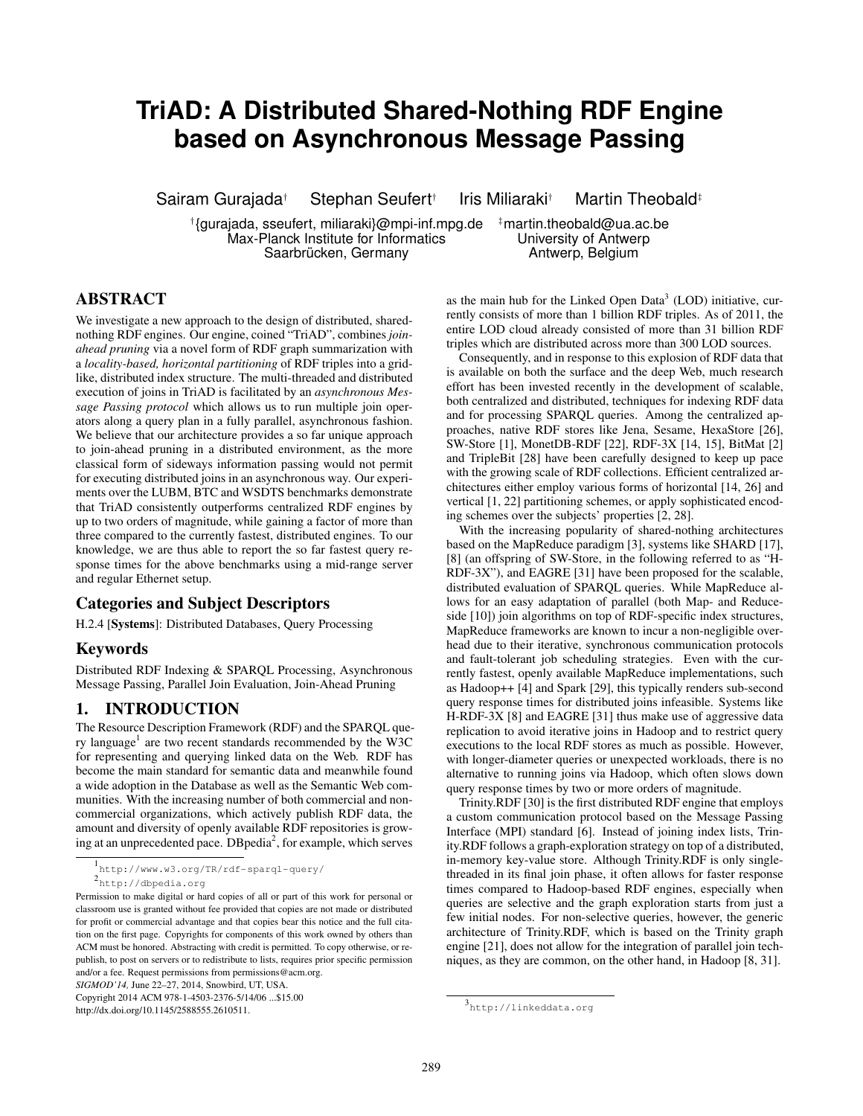# **TriAD: A Distributed Shared-Nothing RDF Engine based on Asynchronous Message Passing**

Sairam Gurajada† Stephan Seufert†

Iris Miliaraki† Martin Theobald‡

† {gurajada, sseufert, miliaraki}@mpi-inf.mpg.de ‡martin.theobald@ua.ac.be Max-Planck Institute for Informatics **Max-Planck Institute for Informatics** University of Antwerp<br>
Saarbrücken, Germany **Machang** Antwerp, Belgium Saarbrücken, Germany

# ABSTRACT

We investigate a new approach to the design of distributed, sharednothing RDF engines. Our engine, coined "TriAD", combines *joinahead pruning* via a novel form of RDF graph summarization with a *locality-based, horizontal partitioning* of RDF triples into a gridlike, distributed index structure. The multi-threaded and distributed execution of joins in TriAD is facilitated by an *asynchronous Message Passing protocol* which allows us to run multiple join operators along a query plan in a fully parallel, asynchronous fashion. We believe that our architecture provides a so far unique approach to join-ahead pruning in a distributed environment, as the more classical form of sideways information passing would not permit for executing distributed joins in an asynchronous way. Our experiments over the LUBM, BTC and WSDTS benchmarks demonstrate that TriAD consistently outperforms centralized RDF engines by up to two orders of magnitude, while gaining a factor of more than three compared to the currently fastest, distributed engines. To our knowledge, we are thus able to report the so far fastest query response times for the above benchmarks using a mid-range server and regular Ethernet setup.

# Categories and Subject Descriptors

H.2.4 [Systems]: Distributed Databases, Query Processing

## Keywords

Distributed RDF Indexing & SPARQL Processing, Asynchronous Message Passing, Parallel Join Evaluation, Join-Ahead Pruning

# 1. INTRODUCTION

The Resource Description Framework (RDF) and the SPARQL query language<sup>1</sup> are two recent standards recommended by the W3C for representing and querying linked data on the Web. RDF has become the main standard for semantic data and meanwhile found a wide adoption in the Database as well as the Semantic Web communities. With the increasing number of both commercial and noncommercial organizations, which actively publish RDF data, the amount and diversity of openly available RDF repositories is growing at an unprecedented pace.  $DBpedia^2$ , for example, which serves

*SIGMOD'14,* June 22–27, 2014, Snowbird, UT, USA.

Copyright 2014 ACM 978-1-4503-2376-5/14/06 ...\$15.00

http://dx.doi.org/10.1145/2588555.2610511.

as the main hub for the Linked Open Data<sup>3</sup> (LOD) initiative, currently consists of more than 1 billion RDF triples. As of 2011, the entire LOD cloud already consisted of more than 31 billion RDF triples which are distributed across more than 300 LOD sources.

Consequently, and in response to this explosion of RDF data that is available on both the surface and the deep Web, much research effort has been invested recently in the development of scalable, both centralized and distributed, techniques for indexing RDF data and for processing SPARQL queries. Among the centralized approaches, native RDF stores like Jena, Sesame, HexaStore [26], SW-Store [1], MonetDB-RDF [22], RDF-3X [14, 15], BitMat [2] and TripleBit [28] have been carefully designed to keep up pace with the growing scale of RDF collections. Efficient centralized architectures either employ various forms of horizontal [14, 26] and vertical [1, 22] partitioning schemes, or apply sophisticated encoding schemes over the subjects' properties [2, 28].

With the increasing popularity of shared-nothing architectures based on the MapReduce paradigm [3], systems like SHARD [17], [8] (an offspring of SW-Store, in the following referred to as "H-RDF-3X"), and EAGRE [31] have been proposed for the scalable, distributed evaluation of SPARQL queries. While MapReduce allows for an easy adaptation of parallel (both Map- and Reduceside [10]) join algorithms on top of RDF-specific index structures, MapReduce frameworks are known to incur a non-negligible overhead due to their iterative, synchronous communication protocols and fault-tolerant job scheduling strategies. Even with the currently fastest, openly available MapReduce implementations, such as Hadoop++ [4] and Spark [29], this typically renders sub-second query response times for distributed joins infeasible. Systems like H-RDF-3X [8] and EAGRE [31] thus make use of aggressive data replication to avoid iterative joins in Hadoop and to restrict query executions to the local RDF stores as much as possible. However, with longer-diameter queries or unexpected workloads, there is no alternative to running joins via Hadoop, which often slows down query response times by two or more orders of magnitude.

Trinity.RDF [30] is the first distributed RDF engine that employs a custom communication protocol based on the Message Passing Interface (MPI) standard [6]. Instead of joining index lists, Trinity.RDF follows a graph-exploration strategy on top of a distributed, in-memory key-value store. Although Trinity.RDF is only singlethreaded in its final join phase, it often allows for faster response times compared to Hadoop-based RDF engines, especially when queries are selective and the graph exploration starts from just a few initial nodes. For non-selective queries, however, the generic architecture of Trinity.RDF, which is based on the Trinity graph engine [21], does not allow for the integration of parallel join techniques, as they are common, on the other hand, in Hadoop [8, 31].

<sup>1</sup> http://www.w3.org/TR/rdf-sparql-query/

<sup>2&</sup>lt;br>http://dbpedia.org

Permission to make digital or hard copies of all or part of this work for personal or classroom use is granted without fee provided that copies are not made or distributed for profit or commercial advantage and that copies bear this notice and the full citation on the first page. Copyrights for components of this work owned by others than ACM must be honored. Abstracting with credit is permitted. To copy otherwise, or republish, to post on servers or to redistribute to lists, requires prior specific permission and/or a fee. Request permissions from permissions@acm.org.

<sup>3</sup> http://linkeddata.org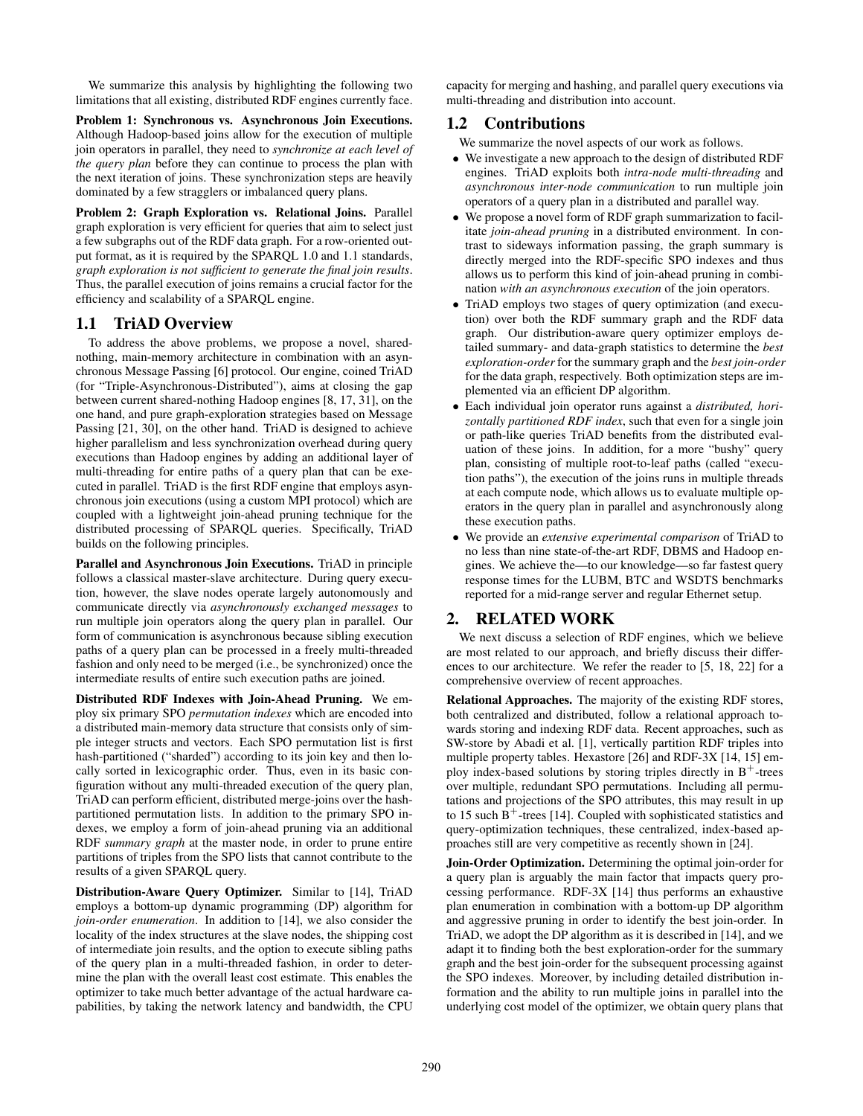We summarize this analysis by highlighting the following two limitations that all existing, distributed RDF engines currently face.

Problem 1: Synchronous vs. Asynchronous Join Executions. Although Hadoop-based joins allow for the execution of multiple join operators in parallel, they need to *synchronize at each level of the query plan* before they can continue to process the plan with the next iteration of joins. These synchronization steps are heavily dominated by a few stragglers or imbalanced query plans.

Problem 2: Graph Exploration vs. Relational Joins. Parallel graph exploration is very efficient for queries that aim to select just a few subgraphs out of the RDF data graph. For a row-oriented output format, as it is required by the SPARQL 1.0 and 1.1 standards, *graph exploration is not sufficient to generate the final join results*. Thus, the parallel execution of joins remains a crucial factor for the efficiency and scalability of a SPARQL engine.

# 1.1 TriAD Overview

To address the above problems, we propose a novel, sharednothing, main-memory architecture in combination with an asynchronous Message Passing [6] protocol. Our engine, coined TriAD (for "Triple-Asynchronous-Distributed"), aims at closing the gap between current shared-nothing Hadoop engines [8, 17, 31], on the one hand, and pure graph-exploration strategies based on Message Passing [21, 30], on the other hand. TriAD is designed to achieve higher parallelism and less synchronization overhead during query executions than Hadoop engines by adding an additional layer of multi-threading for entire paths of a query plan that can be executed in parallel. TriAD is the first RDF engine that employs asynchronous join executions (using a custom MPI protocol) which are coupled with a lightweight join-ahead pruning technique for the distributed processing of SPARQL queries. Specifically, TriAD builds on the following principles.

Parallel and Asynchronous Join Executions. TriAD in principle follows a classical master-slave architecture. During query execution, however, the slave nodes operate largely autonomously and communicate directly via *asynchronously exchanged messages* to run multiple join operators along the query plan in parallel. Our form of communication is asynchronous because sibling execution paths of a query plan can be processed in a freely multi-threaded fashion and only need to be merged (i.e., be synchronized) once the intermediate results of entire such execution paths are joined.

Distributed RDF Indexes with Join-Ahead Pruning. We employ six primary SPO *permutation indexes* which are encoded into a distributed main-memory data structure that consists only of simple integer structs and vectors. Each SPO permutation list is first hash-partitioned ("sharded") according to its join key and then locally sorted in lexicographic order. Thus, even in its basic configuration without any multi-threaded execution of the query plan, TriAD can perform efficient, distributed merge-joins over the hashpartitioned permutation lists. In addition to the primary SPO indexes, we employ a form of join-ahead pruning via an additional RDF *summary graph* at the master node, in order to prune entire partitions of triples from the SPO lists that cannot contribute to the results of a given SPARQL query.

Distribution-Aware Query Optimizer. Similar to [14], TriAD employs a bottom-up dynamic programming (DP) algorithm for *join-order enumeration*. In addition to [14], we also consider the locality of the index structures at the slave nodes, the shipping cost of intermediate join results, and the option to execute sibling paths of the query plan in a multi-threaded fashion, in order to determine the plan with the overall least cost estimate. This enables the optimizer to take much better advantage of the actual hardware capabilities, by taking the network latency and bandwidth, the CPU capacity for merging and hashing, and parallel query executions via multi-threading and distribution into account.

# 1.2 Contributions

We summarize the novel aspects of our work as follows.

- We investigate a new approach to the design of distributed RDF engines. TriAD exploits both *intra-node multi-threading* and *asynchronous inter-node communication* to run multiple join operators of a query plan in a distributed and parallel way.
- We propose a novel form of RDF graph summarization to facilitate *join-ahead pruning* in a distributed environment. In contrast to sideways information passing, the graph summary is directly merged into the RDF-specific SPO indexes and thus allows us to perform this kind of join-ahead pruning in combination *with an asynchronous execution* of the join operators.
- TriAD employs two stages of query optimization (and execution) over both the RDF summary graph and the RDF data graph. Our distribution-aware query optimizer employs detailed summary- and data-graph statistics to determine the *best exploration-order*for the summary graph and the *best join-order* for the data graph, respectively. Both optimization steps are implemented via an efficient DP algorithm.
- Each individual join operator runs against a *distributed, horizontally partitioned RDF index*, such that even for a single join or path-like queries TriAD benefits from the distributed evaluation of these joins. In addition, for a more "bushy" query plan, consisting of multiple root-to-leaf paths (called "execution paths"), the execution of the joins runs in multiple threads at each compute node, which allows us to evaluate multiple operators in the query plan in parallel and asynchronously along these execution paths.
- We provide an *extensive experimental comparison* of TriAD to no less than nine state-of-the-art RDF, DBMS and Hadoop engines. We achieve the—to our knowledge—so far fastest query response times for the LUBM, BTC and WSDTS benchmarks reported for a mid-range server and regular Ethernet setup.

# 2. RELATED WORK

We next discuss a selection of RDF engines, which we believe are most related to our approach, and briefly discuss their differences to our architecture. We refer the reader to [5, 18, 22] for a comprehensive overview of recent approaches.

Relational Approaches. The majority of the existing RDF stores, both centralized and distributed, follow a relational approach towards storing and indexing RDF data. Recent approaches, such as SW-store by Abadi et al. [1], vertically partition RDF triples into multiple property tables. Hexastore [26] and RDF-3X [14, 15] employ index-based solutions by storing triples directly in  $B^+$ -trees over multiple, redundant SPO permutations. Including all permutations and projections of the SPO attributes, this may result in up to 15 such  $B^+$ -trees [14]. Coupled with sophisticated statistics and query-optimization techniques, these centralized, index-based approaches still are very competitive as recently shown in [24].

Join-Order Optimization. Determining the optimal join-order for a query plan is arguably the main factor that impacts query processing performance. RDF-3X [14] thus performs an exhaustive plan enumeration in combination with a bottom-up DP algorithm and aggressive pruning in order to identify the best join-order. In TriAD, we adopt the DP algorithm as it is described in [14], and we adapt it to finding both the best exploration-order for the summary graph and the best join-order for the subsequent processing against the SPO indexes. Moreover, by including detailed distribution information and the ability to run multiple joins in parallel into the underlying cost model of the optimizer, we obtain query plans that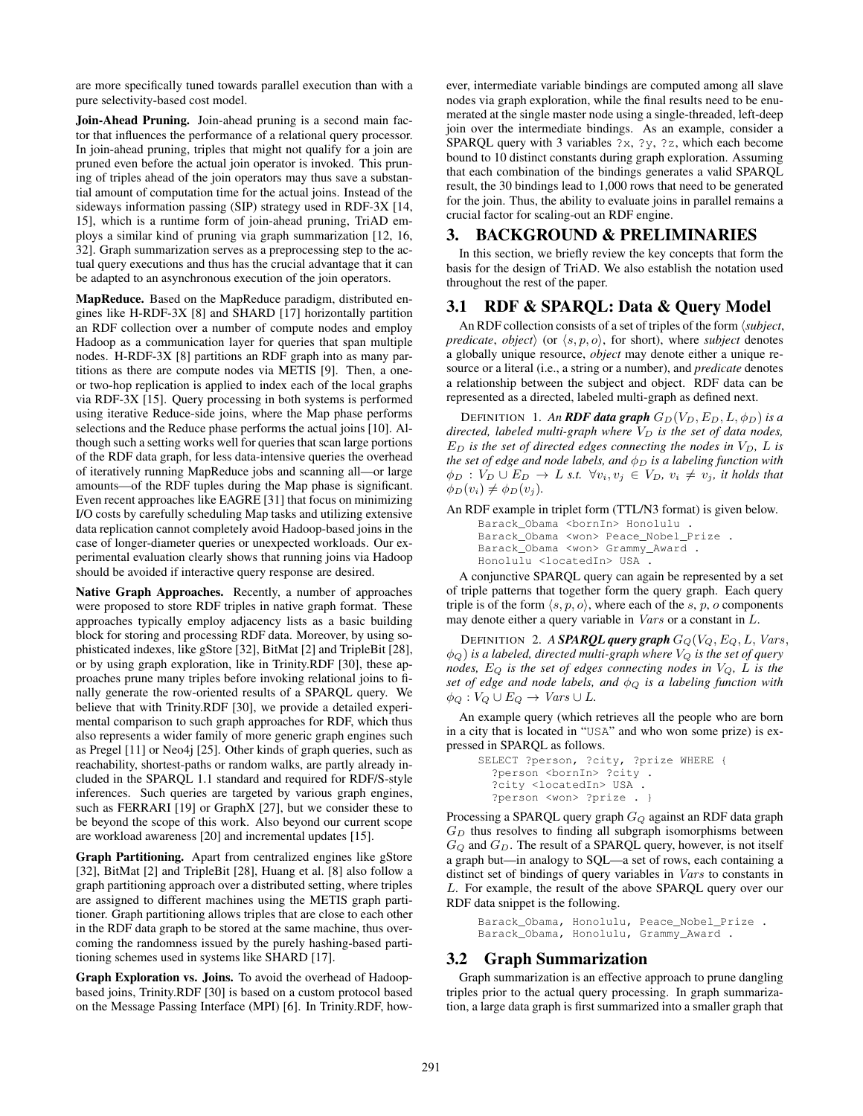are more specifically tuned towards parallel execution than with a pure selectivity-based cost model.

Join-Ahead Pruning. Join-ahead pruning is a second main factor that influences the performance of a relational query processor. In join-ahead pruning, triples that might not qualify for a join are pruned even before the actual join operator is invoked. This pruning of triples ahead of the join operators may thus save a substantial amount of computation time for the actual joins. Instead of the sideways information passing (SIP) strategy used in RDF-3X [14, 15], which is a runtime form of join-ahead pruning, TriAD employs a similar kind of pruning via graph summarization [12, 16, 32]. Graph summarization serves as a preprocessing step to the actual query executions and thus has the crucial advantage that it can be adapted to an asynchronous execution of the join operators.

MapReduce. Based on the MapReduce paradigm, distributed engines like H-RDF-3X [8] and SHARD [17] horizontally partition an RDF collection over a number of compute nodes and employ Hadoop as a communication layer for queries that span multiple nodes. H-RDF-3X [8] partitions an RDF graph into as many partitions as there are compute nodes via METIS [9]. Then, a oneor two-hop replication is applied to index each of the local graphs via RDF-3X [15]. Query processing in both systems is performed using iterative Reduce-side joins, where the Map phase performs selections and the Reduce phase performs the actual joins [10]. Although such a setting works well for queries that scan large portions of the RDF data graph, for less data-intensive queries the overhead of iteratively running MapReduce jobs and scanning all—or large amounts—of the RDF tuples during the Map phase is significant. Even recent approaches like EAGRE [31] that focus on minimizing I/O costs by carefully scheduling Map tasks and utilizing extensive data replication cannot completely avoid Hadoop-based joins in the case of longer-diameter queries or unexpected workloads. Our experimental evaluation clearly shows that running joins via Hadoop should be avoided if interactive query response are desired.

Native Graph Approaches. Recently, a number of approaches were proposed to store RDF triples in native graph format. These approaches typically employ adjacency lists as a basic building block for storing and processing RDF data. Moreover, by using sophisticated indexes, like gStore [32], BitMat [2] and TripleBit [28], or by using graph exploration, like in Trinity.RDF [30], these approaches prune many triples before invoking relational joins to finally generate the row-oriented results of a SPARQL query. We believe that with Trinity.RDF [30], we provide a detailed experimental comparison to such graph approaches for RDF, which thus also represents a wider family of more generic graph engines such as Pregel [11] or Neo4j [25]. Other kinds of graph queries, such as reachability, shortest-paths or random walks, are partly already included in the SPARQL 1.1 standard and required for RDF/S-style inferences. Such queries are targeted by various graph engines, such as FERRARI [19] or GraphX [27], but we consider these to be beyond the scope of this work. Also beyond our current scope are workload awareness [20] and incremental updates [15].

Graph Partitioning. Apart from centralized engines like gStore [32], BitMat [2] and TripleBit [28], Huang et al. [8] also follow a graph partitioning approach over a distributed setting, where triples are assigned to different machines using the METIS graph partitioner. Graph partitioning allows triples that are close to each other in the RDF data graph to be stored at the same machine, thus overcoming the randomness issued by the purely hashing-based partitioning schemes used in systems like SHARD [17].

Graph Exploration vs. Joins. To avoid the overhead of Hadoopbased joins, Trinity.RDF [30] is based on a custom protocol based on the Message Passing Interface (MPI) [6]. In Trinity.RDF, however, intermediate variable bindings are computed among all slave nodes via graph exploration, while the final results need to be enumerated at the single master node using a single-threaded, left-deep join over the intermediate bindings. As an example, consider a SPARQL query with 3 variables ?x, ?y, ?z, which each become bound to 10 distinct constants during graph exploration. Assuming that each combination of the bindings generates a valid SPARQL result, the 30 bindings lead to 1,000 rows that need to be generated for the join. Thus, the ability to evaluate joins in parallel remains a crucial factor for scaling-out an RDF engine.

# 3. BACKGROUND & PRELIMINARIES

In this section, we briefly review the key concepts that form the basis for the design of TriAD. We also establish the notation used throughout the rest of the paper.

## 3.1 RDF & SPARQL: Data & Query Model

An RDF collection consists of a set of triples of the form *(subject*, *predicate, object* $\rangle$  (or  $\langle s, p, o \rangle$ , for short), where *subject* denotes a globally unique resource, *object* may denote either a unique resource or a literal (i.e., a string or a number), and *predicate* denotes a relationship between the subject and object. RDF data can be represented as a directed, labeled multi-graph as defined next.

DEFINITION 1. An **RDF** data graph  $G_D(V_D, E_D, L, \phi_D)$  is a *directed, labeled multi-graph where*  $V_D$  *is the set of data nodes,*  $E_D$  *is the set of directed edges connecting the nodes in*  $V_D$ , *L is the set of edge and node labels, and*  $\phi_D$  *is a labeling function with*  $\phi_D : V_D \cup E_D \rightarrow L$  *s.t.*  $\forall v_i, v_j \in V_D$ ,  $v_i \neq v_j$ , *it holds that*  $\phi_D(v_i) \neq \phi_D(v_j)$ .

An RDF example in triplet form (TTL/N3 format) is given below.

Barack\_Obama <bornIn> Honolulu . Barack\_Obama <won> Peace\_Nobel\_Prize .

```
Barack_Obama <won> Grammy_Award .
Honolulu <locatedIn> USA .
```
A conjunctive SPARQL query can again be represented by a set of triple patterns that together form the query graph. Each query triple is of the form  $\langle s, p, o \rangle$ , where each of the s, p, o components may denote either a query variable in Vars or a constant in L.

DEFINITION 2. *A SPARQL query graph*  $G_Q(V_Q, E_Q, L, Vars,$  $\phi$ <sub>O</sub>) *is a labeled, directed multi-graph where*  $V$ <sub>O</sub> *is the set of query nodes,*  $E_Q$  *is the set of edges connecting nodes in*  $V_Q$ ,  $L$  *is the set of edge and node labels, and*  $\phi_Q$  *is a labeling function with*  $\phi_Q: V_Q \cup E_Q \rightarrow Vars \cup L.$ 

An example query (which retrieves all the people who are born in a city that is located in "USA" and who won some prize) is expressed in SPARQL as follows.

```
SELECT ?person, ?city, ?prize WHERE {
  ?person <bornIn> ?city .
  ?city <locatedIn> USA .
  ?person <won> ?prize . }
```
Processing a SPARQL query graph  $G_Q$  against an RDF data graph  $G<sub>D</sub>$  thus resolves to finding all subgraph isomorphisms between  $G_Q$  and  $G_D$ . The result of a SPARQL query, however, is not itself a graph but—in analogy to SQL—a set of rows, each containing a distinct set of bindings of query variables in Vars to constants in L. For example, the result of the above SPARQL query over our RDF data snippet is the following.

```
Barack_Obama, Honolulu, Peace_Nobel_Prize .
Barack_Obama, Honolulu, Grammy_Award .
```
# 3.2 Graph Summarization

Graph summarization is an effective approach to prune dangling triples prior to the actual query processing. In graph summarization, a large data graph is first summarized into a smaller graph that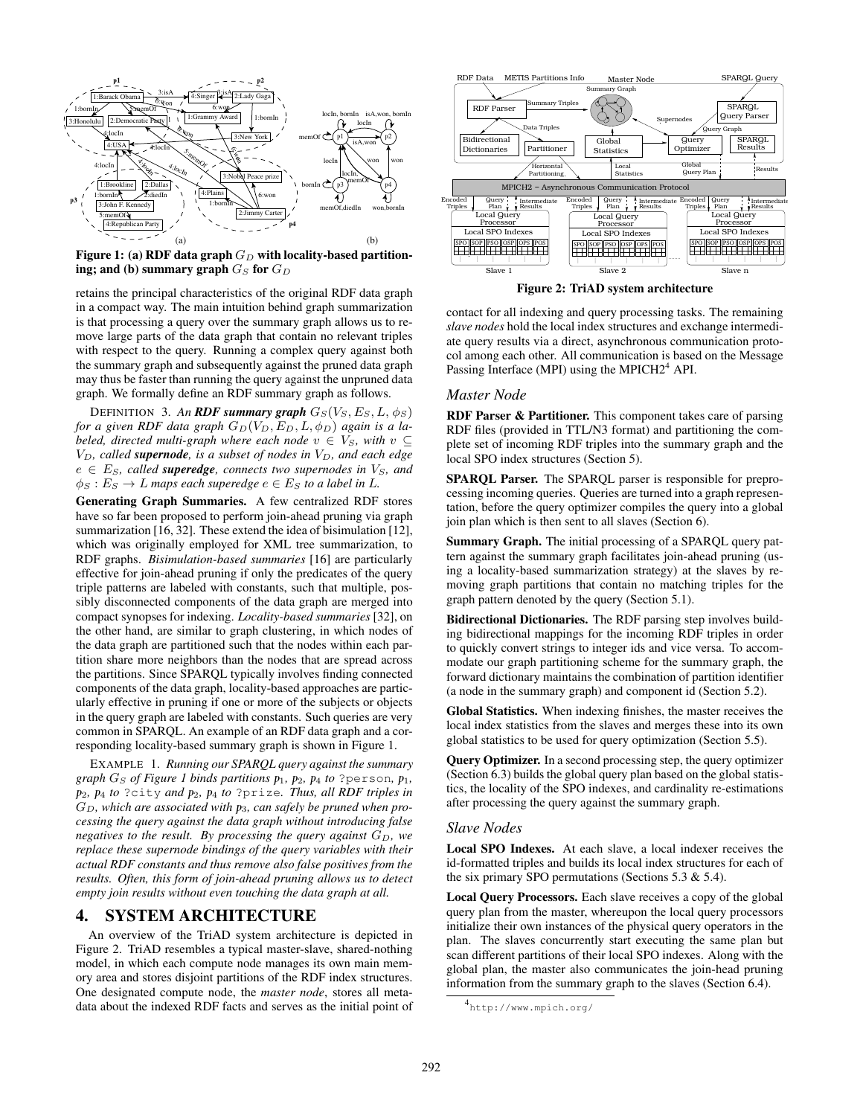

Figure 1: (a) RDF data graph  $G_D$  with locality-based partitioning; and (b) summary graph  $G_S$  for  $G_D$ 

retains the principal characteristics of the original RDF data graph in a compact way. The main intuition behind graph summarization is that processing a query over the summary graph allows us to remove large parts of the data graph that contain no relevant triples with respect to the query. Running a complex query against both the summary graph and subsequently against the pruned data graph may thus be faster than running the query against the unpruned data graph. We formally define an RDF summary graph as follows.

DEFINITION 3. An **RDF summary graph**  $G_S(V_S, E_S, L, \phi_S)$ *for a given RDF data graph*  $G_D(V_D, E_D, L, \phi_D)$  *again is a labeled, directed multi-graph where each node*  $v \in V_S$ *, with*  $v \subseteq$  $V_D$ , called **supernode**, is a subset of nodes in  $V_D$ , and each edge  $e \in E_S$ , called *superedge*, connects two supernodes in  $V_S$ , and  $\phi_S : E_S \to L$  *maps each superedge*  $e \in E_S$  *to a label in* L.

Generating Graph Summaries. A few centralized RDF stores have so far been proposed to perform join-ahead pruning via graph summarization [16, 32]. These extend the idea of bisimulation [12], which was originally employed for XML tree summarization, to RDF graphs. *Bisimulation-based summaries* [16] are particularly effective for join-ahead pruning if only the predicates of the query triple patterns are labeled with constants, such that multiple, possibly disconnected components of the data graph are merged into compact synopses for indexing. *Locality-based summaries* [32], on the other hand, are similar to graph clustering, in which nodes of the data graph are partitioned such that the nodes within each partition share more neighbors than the nodes that are spread across the partitions. Since SPARQL typically involves finding connected components of the data graph, locality-based approaches are particularly effective in pruning if one or more of the subjects or objects in the query graph are labeled with constants. Such queries are very common in SPARQL. An example of an RDF data graph and a corresponding locality-based summary graph is shown in Figure 1.

EXAMPLE 1. *Running our SPARQL query against the summary graph*  $G_S$  *of Figure 1 binds partitions*  $p_1$ *,*  $p_2$ *,*  $p_4$  *to* ?person*,*  $p_1$ *,* ß2*,* ß<sup>4</sup> *to* ?city *and* ß2*,* ß<sup>4</sup> *to* ?prize*. Thus, all RDF triples in*  $G_D$ , which are associated with p<sub>3</sub>, can safely be pruned when pro*cessing the query against the data graph without introducing false negatives to the result. By processing the query against*  $G_D$ , we *replace these supernode bindings of the query variables with their actual RDF constants and thus remove also false positives from the results. Often, this form of join-ahead pruning allows us to detect empty join results without even touching the data graph at all.*

# 4. SYSTEM ARCHITECTURE

An overview of the TriAD system architecture is depicted in Figure 2. TriAD resembles a typical master-slave, shared-nothing model, in which each compute node manages its own main memory area and stores disjoint partitions of the RDF index structures. One designated compute node, the *master node*, stores all metadata about the indexed RDF facts and serves as the initial point of



Figure 2: TriAD system architecture

contact for all indexing and query processing tasks. The remaining *slave nodes* hold the local index structures and exchange intermediate query results via a direct, asynchronous communication protocol among each other. All communication is based on the Message Passing Interface (MPI) using the MPICH $2<sup>4</sup>$  API.

## *Master Node*

RDF Parser & Partitioner. This component takes care of parsing RDF files (provided in TTL/N3 format) and partitioning the complete set of incoming RDF triples into the summary graph and the local SPO index structures (Section 5).

SPARQL Parser. The SPARQL parser is responsible for preprocessing incoming queries. Queries are turned into a graph representation, before the query optimizer compiles the query into a global join plan which is then sent to all slaves (Section 6).

Summary Graph. The initial processing of a SPARQL query pattern against the summary graph facilitates join-ahead pruning (using a locality-based summarization strategy) at the slaves by removing graph partitions that contain no matching triples for the graph pattern denoted by the query (Section 5.1).

Bidirectional Dictionaries. The RDF parsing step involves building bidirectional mappings for the incoming RDF triples in order to quickly convert strings to integer ids and vice versa. To accommodate our graph partitioning scheme for the summary graph, the forward dictionary maintains the combination of partition identifier (a node in the summary graph) and component id (Section 5.2).

Global Statistics. When indexing finishes, the master receives the local index statistics from the slaves and merges these into its own global statistics to be used for query optimization (Section 5.5).

Query Optimizer. In a second processing step, the query optimizer (Section 6.3) builds the global query plan based on the global statistics, the locality of the SPO indexes, and cardinality re-estimations after processing the query against the summary graph.

#### *Slave Nodes*

Local SPO Indexes. At each slave, a local indexer receives the id-formatted triples and builds its local index structures for each of the six primary SPO permutations (Sections 5.3 & 5.4).

Local Query Processors. Each slave receives a copy of the global query plan from the master, whereupon the local query processors initialize their own instances of the physical query operators in the plan. The slaves concurrently start executing the same plan but scan different partitions of their local SPO indexes. Along with the global plan, the master also communicates the join-head pruning information from the summary graph to the slaves (Section 6.4).

<sup>4</sup> http://www.mpich.org/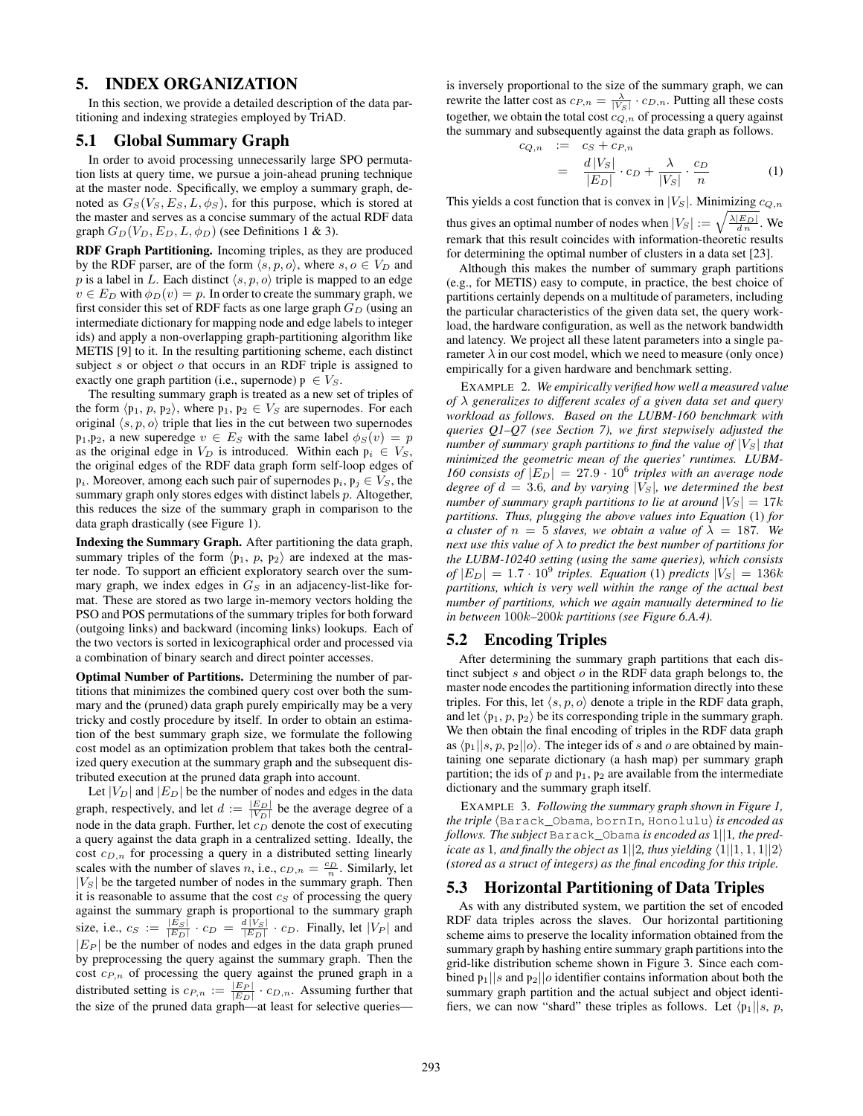# 5. INDEX ORGANIZATION

In this section, we provide a detailed description of the data partitioning and indexing strategies employed by TriAD.

#### 5.1 Global Summary Graph

In order to avoid processing unnecessarily large SPO permutation lists at query time, we pursue a join-ahead pruning technique at the master node. Specifically, we employ a summary graph, denoted as  $G_S(V_S, E_S, L, \phi_S)$ , for this purpose, which is stored at the master and serves as a concise summary of the actual RDF data graph  $G_D(V_D, E_D, L, \phi_D)$  (see Definitions 1 & 3).

RDF Graph Partitioning. Incoming triples, as they are produced by the RDF parser, are of the form  $\langle s, p, o \rangle$ , where  $s, o \in V_D$  and p is a label in L. Each distinct  $\langle s, p, o \rangle$  triple is mapped to an edge  $v \in E_D$  with  $\phi_D(v) = p$ . In order to create the summary graph, we first consider this set of RDF facts as one large graph  $G_D$  (using an intermediate dictionary for mapping node and edge labels to integer ids) and apply a non-overlapping graph-partitioning algorithm like METIS [9] to it. In the resulting partitioning scheme, each distinct subject  $s$  or object  $o$  that occurs in an RDF triple is assigned to exactly one graph partition (i.e., supernode)  $p \in V_S$ .

The resulting summary graph is treated as a new set of triples of the form  $\langle p_1, p, p_2 \rangle$ , where  $p_1, p_2 \in V_S$  are supernodes. For each original  $\langle s, p, o \rangle$  triple that lies in the cut between two supernodes  $p_1, p_2$ , a new superedge  $v \in E_S$  with the same label  $\phi_S(v) = p$ as the original edge in  $V_D$  is introduced. Within each  $p_i \in V_S$ , the original edges of the RDF data graph form self-loop edges of  $p_i$ . Moreover, among each such pair of supernodes  $p_i$ ,  $p_j \in V_S$ , the summary graph only stores edges with distinct labels p. Altogether, this reduces the size of the summary graph in comparison to the data graph drastically (see Figure 1).

Indexing the Summary Graph. After partitioning the data graph, summary triples of the form  $\langle p_1, p, p_2 \rangle$  are indexed at the master node. To support an efficient exploratory search over the summary graph, we index edges in  $G<sub>S</sub>$  in an adjacency-list-like format. These are stored as two large in-memory vectors holding the PSO and POS permutations of the summary triples for both forward (outgoing links) and backward (incoming links) lookups. Each of the two vectors is sorted in lexicographical order and processed via a combination of binary search and direct pointer accesses.

Optimal Number of Partitions. Determining the number of partitions that minimizes the combined query cost over both the summary and the (pruned) data graph purely empirically may be a very tricky and costly procedure by itself. In order to obtain an estimation of the best summary graph size, we formulate the following cost model as an optimization problem that takes both the centralized query execution at the summary graph and the subsequent distributed execution at the pruned data graph into account.

Let  $|V_D|$  and  $|E_D|$  be the number of nodes and edges in the data graph, respectively, and let  $d := \frac{|E_D|}{|V_D|}$  be the average degree of a node in the data graph. Further, let  $c_D$  denote the cost of executing a query against the data graph in a centralized setting. Ideally, the cost  $c_{D,n}$  for processing a query in a distributed setting linearly scales with the number of slaves n, i.e.,  $c_{D,n} = \frac{c_D}{n}$ . Similarly, let  $|V_S|$  be the targeted number of nodes in the summary graph. Then it is reasonable to assume that the cost  $c_S$  of processing the query against the summary graph is proportional to the summary graph size, i.e.,  $c_S := \frac{|E_S|}{|E_D|} \cdot c_D = \frac{d|V_S|}{|E_D|} \cdot c_D$ . Finally, let  $|V_P|$  and  $|E_P|$  be the number of nodes and edges in the data graph pruned by preprocessing the query against the summary graph. Then the cost  $c_{P,n}$  of processing the query against the pruned graph in a distributed setting is  $c_{P,n} := \frac{|E_P|}{|E_D|} \cdot c_{D,n}$ . Assuming further that the size of the pruned data graph—at least for selective queriesis inversely proportional to the size of the summary graph, we can rewrite the latter cost as  $c_{P,n} = \frac{\lambda}{|V_S|} \cdot c_{D,n}$ . Putting all these costs together, we obtain the total cost  $c_{Q,n}$  of processing a query against the summary and subsequently against the data graph as follows.

 $c_{Q}$ 

$$
n := c_S + c_{P,n}
$$
  
= 
$$
\frac{d|V_S|}{|E_D|} \cdot c_D + \frac{\lambda}{|V_S|} \cdot \frac{c_D}{n}
$$
 (1)

This yields a cost function that is convex in  $|V_s|$ . Minimizing  $c_{Q,n}$ thus gives an optimal number of nodes when  $|V_S| := \sqrt{\frac{\lambda |E_D|}{d n}}$ . We remark that this result coincides with information-theoretic results for determining the optimal number of clusters in a data set [23].

Although this makes the number of summary graph partitions (e.g., for METIS) easy to compute, in practice, the best choice of partitions certainly depends on a multitude of parameters, including the particular characteristics of the given data set, the query workload, the hardware configuration, as well as the network bandwidth and latency. We project all these latent parameters into a single parameter  $\lambda$  in our cost model, which we need to measure (only once) empirically for a given hardware and benchmark setting.

EXAMPLE 2. *We empirically verified how well a measured value of* λ *generalizes to different scales of a given data set and query workload as follows. Based on the LUBM-160 benchmark with queries Q1–Q7 (see Section 7), we first stepwisely adjusted the number of summary graph partitions to find the value of*  $|V_s|$  *that minimized the geometric mean of the queries' runtimes. LUBM-*160 consists of  $|E_D| = 27.9 \cdot 10^6$  triples with an average node *degree of*  $d = 3.6$ *, and by varying* | $V_s$ |*, we determined the best number of summary graph partitions to lie at around*  $|V_S| = 17k$ *partitions. Thus, plugging the above values into Equation* (1) *for a cluster of*  $n = 5$  *slaves, we obtain a value of*  $\lambda = 187$ *. We next use this value of* λ *to predict the best number of partitions for the LUBM-10240 setting (using the same queries), which consists of*  $|E_D| = 1.7 \cdot 10^9$  *triples.* Equation (1) *predicts*  $|V_S| = 136k$ *partitions, which is very well within the range of the actual best number of partitions, which we again manually determined to lie in between* 100k*–*200k *partitions (see Figure 6.A.4).*

## 5.2 Encoding Triples

After determining the summary graph partitions that each distinct subject s and object  $o$  in the RDF data graph belongs to, the master node encodes the partitioning information directly into these triples. For this, let  $\langle s, p, o \rangle$  denote a triple in the RDF data graph, and let  $\langle p_1, p, p_2 \rangle$  be its corresponding triple in the summary graph. We then obtain the final encoding of triples in the RDF data graph as  $\langle p_1 || s, p, p_2 || o \rangle$ . The integer ids of s and o are obtained by maintaining one separate dictionary (a hash map) per summary graph partition; the ids of  $p$  and  $p_1$ ,  $p_2$  are available from the intermediate dictionary and the summary graph itself.

EXAMPLE 3. *Following the summary graph shown in Figure 1, the triple* (Barack\_Obama, bornIn, Honolulu) *is encoded as follows. The subject* Barack\_Obama *is encoded as* 1||1*, the predicate as* 1*, and finally the object as*  $1||2$ *, thus yielding*  $\langle 1||1, 1, 1||2\rangle$ *(stored as a struct of integers) as the final encoding for this triple.*

#### 5.3 Horizontal Partitioning of Data Triples

As with any distributed system, we partition the set of encoded RDF data triples across the slaves. Our horizontal partitioning scheme aims to preserve the locality information obtained from the summary graph by hashing entire summary graph partitions into the grid-like distribution scheme shown in Figure 3. Since each combined  $p_1||s$  and  $p_2||o$  identifier contains information about both the summary graph partition and the actual subject and object identifiers, we can now "shard" these triples as follows. Let  $\langle p_1||s, p$ ,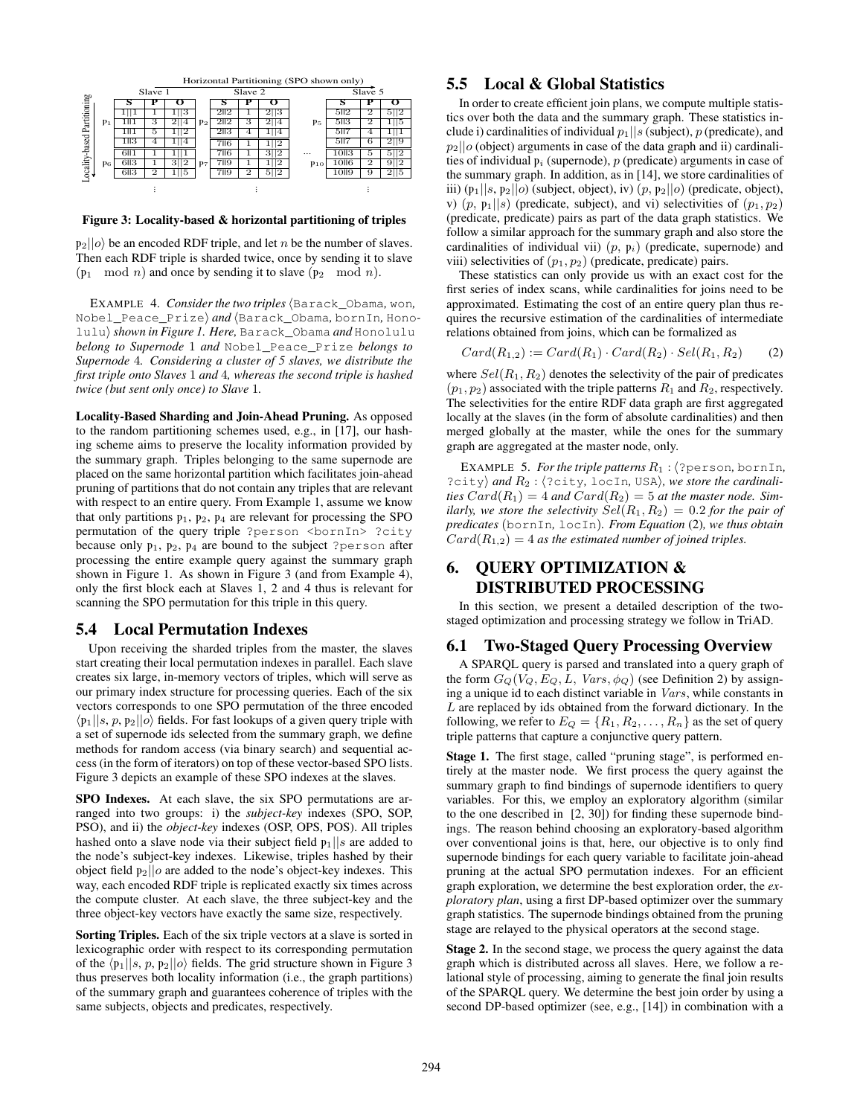

Figure 3: Locality-based & horizontal partitioning of triples

 $p_2||o\rangle$  be an encoded RDF triple, and let n be the number of slaves. Then each RDF triple is sharded twice, once by sending it to slave  $(p_1 \mod n)$  and once by sending it to slave  $(p_2 \mod n)$ .

EXAMPLE 4. *Consider the two triples* (Barack\_Obama, won, Nobel\_Peace\_Prize) and (Barack\_Obama, bornIn, Honolului*shown in Figure 1. Here,* Barack\_Obama *and* Honolulu *belong to Supernode* 1 *and* Nobel\_Peace\_Prize *belongs to Supernode* 4*. Considering a cluster of 5 slaves, we distribute the first triple onto Slaves* 1 *and* 4*, whereas the second triple is hashed twice (but sent only once) to Slave* 1*.*

Locality-Based Sharding and Join-Ahead Pruning. As opposed to the random partitioning schemes used, e.g., in [17], our hashing scheme aims to preserve the locality information provided by the summary graph. Triples belonging to the same supernode are placed on the same horizontal partition which facilitates join-ahead pruning of partitions that do not contain any triples that are relevant with respect to an entire query. From Example 1, assume we know that only partitions  $p_1$ ,  $p_2$ ,  $p_4$  are relevant for processing the SPO permutation of the query triple ?person <br/> <br/>bornIn> ?city because only  $p_1$ ,  $p_2$ ,  $p_4$  are bound to the subject ?person after processing the entire example query against the summary graph shown in Figure 1. As shown in Figure 3 (and from Example 4), only the first block each at Slaves 1, 2 and 4 thus is relevant for scanning the SPO permutation for this triple in this query.

# 5.4 Local Permutation Indexes

Upon receiving the sharded triples from the master, the slaves start creating their local permutation indexes in parallel. Each slave creates six large, in-memory vectors of triples, which will serve as our primary index structure for processing queries. Each of the six vectors corresponds to one SPO permutation of the three encoded  $\langle p_1 || s, p, p_2 || o \rangle$  fields. For fast lookups of a given query triple with a set of supernode ids selected from the summary graph, we define methods for random access (via binary search) and sequential access (in the form of iterators) on top of these vector-based SPO lists. Figure 3 depicts an example of these SPO indexes at the slaves.

SPO Indexes. At each slave, the six SPO permutations are arranged into two groups: i) the *subject-key* indexes (SPO, SOP, PSO), and ii) the *object-key* indexes (OSP, OPS, POS). All triples hashed onto a slave node via their subject field  $p_1||s$  are added to the node's subject-key indexes. Likewise, triples hashed by their object field  $p_2||o$  are added to the node's object-key indexes. This way, each encoded RDF triple is replicated exactly six times across the compute cluster. At each slave, the three subject-key and the three object-key vectors have exactly the same size, respectively.

Sorting Triples. Each of the six triple vectors at a slave is sorted in lexicographic order with respect to its corresponding permutation of the  $\langle p_1 || s, p, p_2 || o \rangle$  fields. The grid structure shown in Figure 3 thus preserves both locality information (i.e., the graph partitions) of the summary graph and guarantees coherence of triples with the same subjects, objects and predicates, respectively.

# 5.5 Local & Global Statistics

In order to create efficient join plans, we compute multiple statistics over both the data and the summary graph. These statistics include i) cardinalities of individual  $p_1||s$  (subject), p (predicate), and  $p_2||o$  (object) arguments in case of the data graph and ii) cardinalities of individual  $p_i$  (supernode),  $p$  (predicate) arguments in case of the summary graph. In addition, as in [14], we store cardinalities of iii) ( $p_1||s, p_2||o$ ) (subject, object), iv) ( $p, p_2||o$ ) (predicate, object), v)  $(p, p_1||s)$  (predicate, subject), and vi) selectivities of  $(p_1, p_2)$ (predicate, predicate) pairs as part of the data graph statistics. We follow a similar approach for the summary graph and also store the cardinalities of individual vii)  $(p, p_i)$  (predicate, supernode) and viii) selectivities of  $(p_1, p_2)$  (predicate, predicate) pairs.

These statistics can only provide us with an exact cost for the first series of index scans, while cardinalities for joins need to be approximated. Estimating the cost of an entire query plan thus requires the recursive estimation of the cardinalities of intermediate relations obtained from joins, which can be formalized as

$$
Card(R_{1,2}):=Card(R_1)\cdot Card(R_2)\cdot Sel(R_1,R_2)
$$
 (2)

where  $Sel(R_1, R_2)$  denotes the selectivity of the pair of predicates  $(p_1, p_2)$  associated with the triple patterns  $R_1$  and  $R_2$ , respectively. The selectivities for the entire RDF data graph are first aggregated locally at the slaves (in the form of absolute cardinalities) and then merged globally at the master, while the ones for the summary graph are aggregated at the master node, only.

EXAMPLE 5. *For the triple patterns*  $R_1$  :  $\langle$ ?person, bornIn,  $?city$  *and*  $R_2$  :  $\langle ?city, \text{locIn, USA} \rangle$ *, we store the cardinali* $ties Card(R_1) = 4$  *and*  $Card(R_2) = 5$  *at the master node. Similarly, we store the selectivity*  $Sel(R_1, R_2) = 0.2$  *for the pair of predicates* (bornIn*,* locIn)*. From Equation* (2)*, we thus obtain*  $Card(R_{1,2})=4$  *as the estimated number of joined triples.* 

# 6. QUERY OPTIMIZATION & DISTRIBUTED PROCESSING

In this section, we present a detailed description of the twostaged optimization and processing strategy we follow in TriAD.

## 6.1 Two-Staged Query Processing Overview

A SPARQL query is parsed and translated into a query graph of the form  $G_Q(V_Q, E_Q, L, Vars, \phi_Q)$  (see Definition 2) by assigning a unique id to each distinct variable in Vars, while constants in L are replaced by ids obtained from the forward dictionary. In the following, we refer to  $E_Q = \{R_1, R_2, \ldots, R_n\}$  as the set of query triple patterns that capture a conjunctive query pattern.

Stage 1. The first stage, called "pruning stage", is performed entirely at the master node. We first process the query against the summary graph to find bindings of supernode identifiers to query variables. For this, we employ an exploratory algorithm (similar to the one described in [2, 30]) for finding these supernode bindings. The reason behind choosing an exploratory-based algorithm over conventional joins is that, here, our objective is to only find supernode bindings for each query variable to facilitate join-ahead pruning at the actual SPO permutation indexes. For an efficient graph exploration, we determine the best exploration order, the *exploratory plan*, using a first DP-based optimizer over the summary graph statistics. The supernode bindings obtained from the pruning stage are relayed to the physical operators at the second stage.

Stage 2. In the second stage, we process the query against the data graph which is distributed across all slaves. Here, we follow a relational style of processing, aiming to generate the final join results of the SPARQL query. We determine the best join order by using a second DP-based optimizer (see, e.g., [14]) in combination with a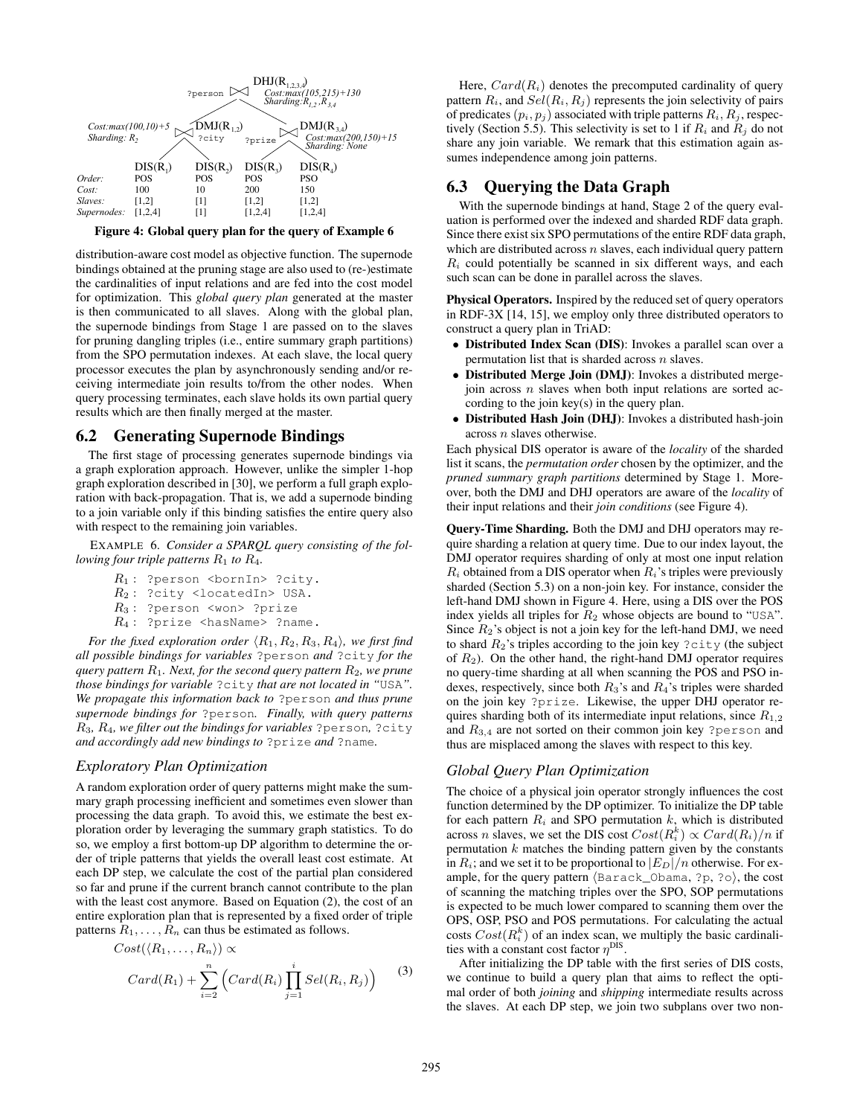

Figure 4: Global query plan for the query of Example 6

distribution-aware cost model as objective function. The supernode bindings obtained at the pruning stage are also used to (re-)estimate the cardinalities of input relations and are fed into the cost model for optimization. This *global query plan* generated at the master is then communicated to all slaves. Along with the global plan, the supernode bindings from Stage 1 are passed on to the slaves for pruning dangling triples (i.e., entire summary graph partitions) from the SPO permutation indexes. At each slave, the local query processor executes the plan by asynchronously sending and/or receiving intermediate join results to/from the other nodes. When query processing terminates, each slave holds its own partial query results which are then finally merged at the master.

#### 6.2 Generating Supernode Bindings

The first stage of processing generates supernode bindings via a graph exploration approach. However, unlike the simpler 1-hop graph exploration described in [30], we perform a full graph exploration with back-propagation. That is, we add a supernode binding to a join variable only if this binding satisfies the entire query also with respect to the remaining join variables.

EXAMPLE 6. *Consider a SPARQL query consisting of the following four triple patterns*  $R_1$  *to*  $R_4$ *.* 

- $R_1$ : ?person <br/> <br/>bornIn> ?city.
- $R_2$ : ?city <locatedIn> USA.
- R<sup>3</sup> : ?person <won> ?prize
- $R_4$ : ?prize <hasName> ?name.

*For the fixed exploration order*  $\langle R_1, R_2, R_3, R_4 \rangle$ *, we first find all possible bindings for variables* ?person *and* ?city *for the query pattern*  $R_1$ *. Next, for the second query pattern*  $R_2$ *, we prune those bindings for variable* ?city *that are not located in "*USA*". We propagate this information back to* ?person *and thus prune supernode bindings for* ?person*. Finally, with query patterns* R3*,* R4*, we filter out the bindings for variables* ?person*,* ?city *and accordingly add new bindings to* ?prize *and* ?name*.*

#### *Exploratory Plan Optimization*

A random exploration order of query patterns might make the summary graph processing inefficient and sometimes even slower than processing the data graph. To avoid this, we estimate the best exploration order by leveraging the summary graph statistics. To do so, we employ a first bottom-up DP algorithm to determine the order of triple patterns that yields the overall least cost estimate. At each DP step, we calculate the cost of the partial plan considered so far and prune if the current branch cannot contribute to the plan with the least cost anymore. Based on Equation (2), the cost of an entire exploration plan that is represented by a fixed order of triple patterns  $R_1, \ldots, R_n$  can thus be estimated as follows.

$$
Cost(\langle R_1, \ldots, R_n \rangle) \propto
$$
  
 
$$
Card(R_1) + \sum_{i=2}^n \left(Card(R_i) \prod_{j=1}^i Sel(R_i, R_j)\right)
$$
 (3)

Here,  $Card(R_i)$  denotes the precomputed cardinality of query pattern  $R_i$ , and  $Sel(R_i, R_j)$  represents the join selectivity of pairs of predicates  $(p_i, p_j)$  associated with triple patterns  $R_i, R_j$ , respectively (Section 5.5). This selectivity is set to 1 if  $R_i$  and  $R_j$  do not share any join variable. We remark that this estimation again assumes independence among join patterns.

# 6.3 Querying the Data Graph

With the supernode bindings at hand, Stage 2 of the query evaluation is performed over the indexed and sharded RDF data graph. Since there exist six SPO permutations of the entire RDF data graph, which are distributed across  $n$  slaves, each individual query pattern  $R_i$  could potentially be scanned in six different ways, and each such scan can be done in parallel across the slaves.

Physical Operators. Inspired by the reduced set of query operators in RDF-3X [14, 15], we employ only three distributed operators to construct a query plan in TriAD:

- Distributed Index Scan (DIS): Invokes a parallel scan over a permutation list that is sharded across  $n$  slaves.
- Distributed Merge Join (DMJ): Invokes a distributed mergejoin across  $n$  slaves when both input relations are sorted according to the join key(s) in the query plan.
- Distributed Hash Join (DHJ): Invokes a distributed hash-join across  $n$  slaves otherwise.

Each physical DIS operator is aware of the *locality* of the sharded list it scans, the *permutation order* chosen by the optimizer, and the *pruned summary graph partitions* determined by Stage 1. Moreover, both the DMJ and DHJ operators are aware of the *locality* of their input relations and their *join conditions* (see Figure 4).

Query-Time Sharding. Both the DMJ and DHJ operators may require sharding a relation at query time. Due to our index layout, the DMJ operator requires sharding of only at most one input relation  $R_i$  obtained from a DIS operator when  $R_i$ 's triples were previously sharded (Section 5.3) on a non-join key. For instance, consider the left-hand DMJ shown in Figure 4. Here, using a DIS over the POS index yields all triples for  $R_2$  whose objects are bound to "USA". Since  $R_2$ 's object is not a join key for the left-hand DMJ, we need to shard  $R_2$ 's triples according to the join key ?city (the subject of  $R_2$ ). On the other hand, the right-hand DMJ operator requires no query-time sharding at all when scanning the POS and PSO indexes, respectively, since both  $R_3$ 's and  $R_4$ 's triples were sharded on the join key ?prize. Likewise, the upper DHJ operator requires sharding both of its intermediate input relations, since  $R_{1,2}$ and  $R_{3,4}$  are not sorted on their common join key ?person and thus are misplaced among the slaves with respect to this key.

#### *Global Query Plan Optimization*

The choice of a physical join operator strongly influences the cost function determined by the DP optimizer. To initialize the DP table for each pattern  $R_i$  and SPO permutation  $k$ , which is distributed across *n* slaves, we set the DIS cost  $Cost(R_i^k) \propto Card(R_i)/n$  if permutation  $k$  matches the binding pattern given by the constants in  $R_i$ ; and we set it to be proportional to  $|E_D|/n$  otherwise. For example, for the query pattern  $\langle$ Barack\_Obama, ?p, ?o $\rangle$ , the cost of scanning the matching triples over the SPO, SOP permutations is expected to be much lower compared to scanning them over the OPS, OSP, PSO and POS permutations. For calculating the actual costs  $Cost(R_i^k)$  of an index scan, we multiply the basic cardinalities with a constant cost factor  $\eta^{\text{DIS}}$ .

After initializing the DP table with the first series of DIS costs, we continue to build a query plan that aims to reflect the optimal order of both *joining* and *shipping* intermediate results across the slaves. At each DP step, we join two subplans over two non-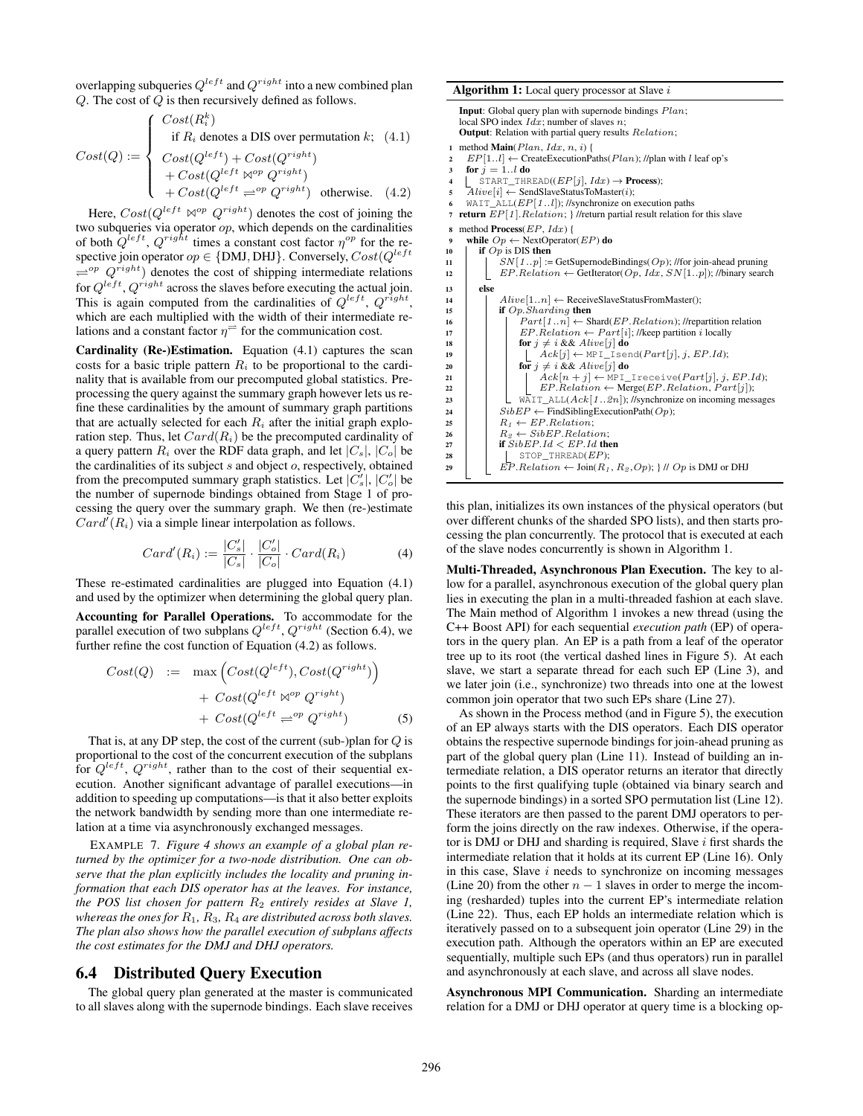overlapping subqueries  $Q^{left}$  and  $Q^{right}$  into a new combined plan Q. The cost of Q is then recursively defined as follows.

$$
Cost(Q) := \begin{cases} Cost(R_i^k) & \text{if } R_i \text{ denotes a DIS over permutation } k; \quad (4.1) \\ Cost(Q^{left}) + Cost(Q^{right}) \\ + Cost(Q^{left} \bowtie^{op} Q^{right}) \\ + Cost(Q^{left} \Leftarrow^{op} Q^{right}) & \text{otherwise.} \quad (4.2) \end{cases}
$$

Here,  $Cost(Q^{left} \bowtie^{op} Q^{right})$  denotes the cost of joining the two subqueries via operator  $op$ , which depends on the cardinalities of both  $Q^{left}$ ,  $Q^{right}$  times a constant cost factor  $\eta^{op}$  for the respective join operator  $op \in \{DMJ, DHJ\}$ . Conversely,  $Cost(Q^{left})$  $\rightleftharpoons$ <sup>op</sup>  $Q^{right}$ ) denotes the cost of shipping intermediate relations for  $Q^{left}$ ,  $Q^{right}$  across the slaves before executing the actual join. This is again computed from the cardinalities of  $Q^{left}$ ,  $Q^{right}$ , which are each multiplied with the width of their intermediate relations and a constant factor  $\eta^{\rightleftharpoons}$  for the communication cost.

Cardinality (Re-)Estimation. Equation (4.1) captures the scan costs for a basic triple pattern  $R_i$  to be proportional to the cardinality that is available from our precomputed global statistics. Preprocessing the query against the summary graph however lets us refine these cardinalities by the amount of summary graph partitions that are actually selected for each  $R_i$  after the initial graph exploration step. Thus, let  $Card(R_i)$  be the precomputed cardinality of a query pattern  $R_i$  over the RDF data graph, and let  $|C_s|, |C_o|$  be the cardinalities of its subject  $s$  and object  $o$ , respectively, obtained from the precomputed summary graph statistics. Let  $|C'_s|, |C'_o|$  be the number of supernode bindings obtained from Stage 1 of processing the query over the summary graph. We then (re-)estimate  $Card'(R_i)$  via a simple linear interpolation as follows.

$$
Card'(R_i) := \frac{|C'_s|}{|C_s|} \cdot \frac{|C'_o|}{|C_o|} \cdot Card(R_i)
$$
 (4)

These re-estimated cardinalities are plugged into Equation (4.1) and used by the optimizer when determining the global query plan.

Accounting for Parallel Operations. To accommodate for the parallel execution of two subplans  $Q^{left}$ ,  $Q^{right}$  (Section 6.4), we further refine the cost function of Equation (4.2) as follows.

$$
Cost(Q) := \max\left(Cost(Q^{left}), Cost(Q^{right})\right) + Cost(Q^{left} \bowtie^{op} Q^{right}) + Cost(Q^{left} \right) \rightarrow Cost(Q^{left} \right)
$$
(5)

That is, at any DP step, the cost of the current (sub-)plan for  $Q$  is proportional to the cost of the concurrent execution of the subplans for  $Q^{left}$ ,  $Q^{right}$ , rather than to the cost of their sequential execution. Another significant advantage of parallel executions—in addition to speeding up computations—is that it also better exploits the network bandwidth by sending more than one intermediate relation at a time via asynchronously exchanged messages.

EXAMPLE 7. *Figure 4 shows an example of a global plan returned by the optimizer for a two-node distribution. One can observe that the plan explicitly includes the locality and pruning information that each DIS operator has at the leaves. For instance, the POS list chosen for pattern*  $R_2$  *entirely resides at Slave 1, whereas the ones for*  $R_1$ ,  $R_3$ ,  $R_4$  *are distributed across both slaves. The plan also shows how the parallel execution of subplans affects the cost estimates for the DMJ and DHJ operators.*

#### 6.4 Distributed Query Execution

The global query plan generated at the master is communicated to all slaves along with the supernode bindings. Each slave receives **Algorithm 1:** Local query processor at Slave  $i$ 

```
Input: Global query plan with supernode bindings Plan;
      local SPO index Idx; number of slaves n;
     Output: Relation with partial query results Relation;
     method \text{Main}(Plan, Idx, n, i) {
 2 EP[1..l] \leftarrow CreateExecutionPaths(Plan); //plan with l leaf op's
        for j = 1..l do
 4 \Box START_THREAD((EP[j], \, Idx) \rightarrow Process);
       \bigcup_{\text{AIive}[i]} \text{STAR} \cup \text{THEBAD}(L2L_{\text{IJ}}, L2L_{\text{I}}) \leftarrow \text{SendSlaveStatusToMaster}(i);6 WAIT_ALL(EP[1..l]); //synchronize on execution paths<br>7 return EP[1].Relation: l/return partial result relation f
     return EP[1]. Relation; } //return partial result relation for this slave
 8 method Process(EP, \text{Idx}) {<br>9 while \Omega_n \leftarrow NextOperator
        while Op \leftarrow NextOperator(EP) do
10 if Op is DIS then
11 \left\{ \begin{array}{c} \begin{array}{c} \end{array} \begin{array} \end{array} \right. \begin{bmatrix} \end{array} S N \begin{bmatrix} 1 \ldots p \end{bmatrix} \end{array} := \text{GetSupernodeBinding}(Op); \text{ // for join-ahead pruning} \end{array} \end{array}12 EP. Relation \leftarrow GetIterator(Op, Idx, SN[1..p]); //binary search
13 else
                    Alive[1..n] \leftarrow \text{ReceiveSlaveStatusFromMaster}();15 if Op. Sharding then<br>16 \left| \begin{array}{c} \text{if } Op. \text{Sharding then} \\ \text{Part}[1..n] \leftarrow S \end{array} \right|Part[1..n] \leftarrow \text{Shard}(EP, Relation);//repartition relation
17 \vert EP. Relation \leftarrow Part[i]; //keep partition i locally
18 for j \neq i && Alive[j] do<br>19 for j \neq i && Alive[j] do
                             \mathcal{L} \overrightarrow{A} c k[j] \leftarrow \text{MPI\_Isend}(Part[j], j, EP.Id);20 for j \neq i && Alive[j] do
 21 \begin{bmatrix} \text{21} \\ \text{22} \end{bmatrix} \begin{bmatrix} \text{Act}[n+j] \leftarrow \text{MPI\_Treeeive}(Part[j], j, EP.Id); \\ \text{EP}.Relation \leftarrow \text{Merge}(EP. Relation, Part[j]); \end{bmatrix}23 \Box WAIT_ALL(Ack[1..2n]); //synchronize on incoming messages
24 SibEP ← FindSiblingExecutionPath(Op);
25 R<sub>1</sub> ← EP. Relation;<br>
R_0 \leftarrow SibEP, Relati26 R<sub>2</sub> ← SibEP.Relation;<br>
if SibEP.Id < EP.Id the
                   if SibEP.Id \lt EP.Id then
28 STOP_THREAD(EP);
29 \left| \right| \left| \right| \mathsf{E} \mathsf{P}. \mathsf{Relation} \leftarrow \mathrm{Join}(R_1, R_2, Op); \} // Op is DMJ or DHJ
```
this plan, initializes its own instances of the physical operators (but over different chunks of the sharded SPO lists), and then starts processing the plan concurrently. The protocol that is executed at each of the slave nodes concurrently is shown in Algorithm 1.

Multi-Threaded, Asynchronous Plan Execution. The key to allow for a parallel, asynchronous execution of the global query plan lies in executing the plan in a multi-threaded fashion at each slave. The Main method of Algorithm 1 invokes a new thread (using the C++ Boost API) for each sequential *execution path* (EP) of operators in the query plan. An EP is a path from a leaf of the operator tree up to its root (the vertical dashed lines in Figure 5). At each slave, we start a separate thread for each such EP (Line 3), and we later join (i.e., synchronize) two threads into one at the lowest common join operator that two such EPs share (Line 27).

As shown in the Process method (and in Figure 5), the execution of an EP always starts with the DIS operators. Each DIS operator obtains the respective supernode bindings for join-ahead pruning as part of the global query plan (Line 11). Instead of building an intermediate relation, a DIS operator returns an iterator that directly points to the first qualifying tuple (obtained via binary search and the supernode bindings) in a sorted SPO permutation list (Line 12). These iterators are then passed to the parent DMJ operators to perform the joins directly on the raw indexes. Otherwise, if the operator is DMJ or DHJ and sharding is required, Slave  $i$  first shards the intermediate relation that it holds at its current EP (Line 16). Only in this case, Slave  $i$  needs to synchronize on incoming messages (Line 20) from the other  $n - 1$  slaves in order to merge the incoming (resharded) tuples into the current EP's intermediate relation (Line 22). Thus, each EP holds an intermediate relation which is iteratively passed on to a subsequent join operator (Line 29) in the execution path. Although the operators within an EP are executed sequentially, multiple such EPs (and thus operators) run in parallel and asynchronously at each slave, and across all slave nodes.

Asynchronous MPI Communication. Sharding an intermediate relation for a DMJ or DHJ operator at query time is a blocking op-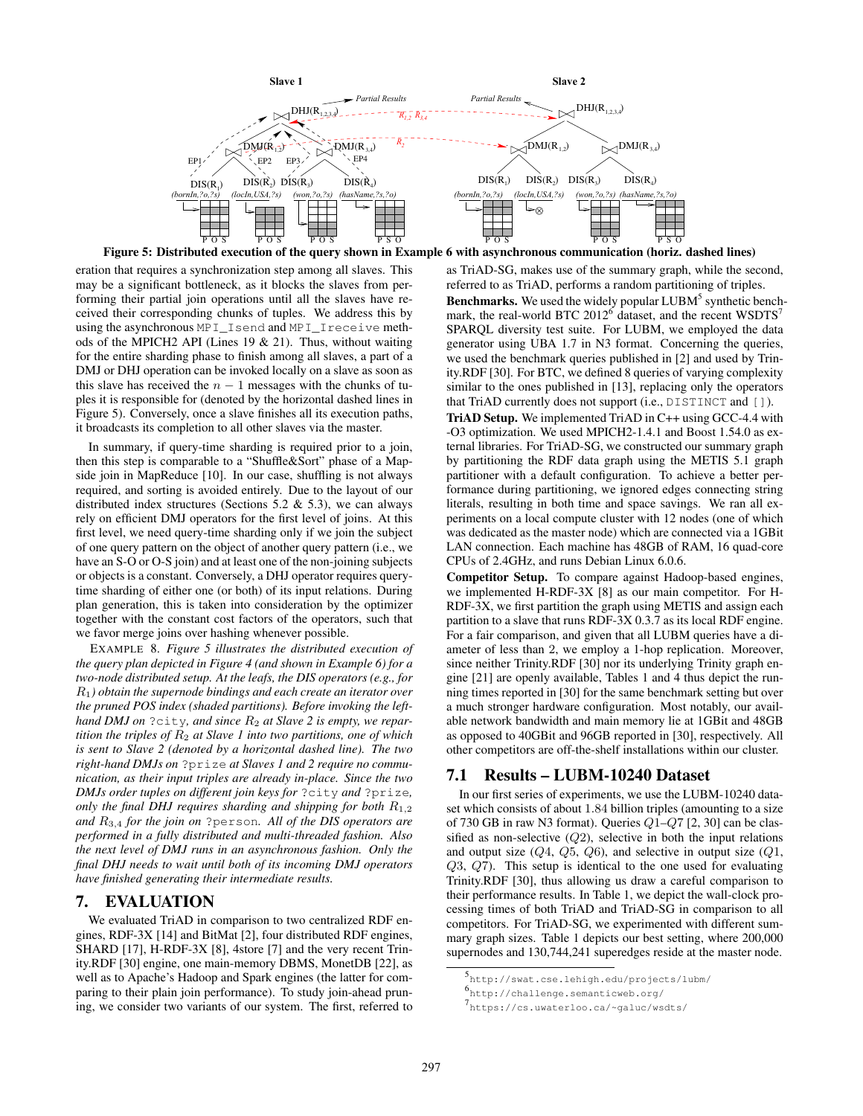



eration that requires a synchronization step among all slaves. This may be a significant bottleneck, as it blocks the slaves from performing their partial join operations until all the slaves have received their corresponding chunks of tuples. We address this by using the asynchronous MPI\_Isend and MPI\_Ireceive methods of the MPICH2 API (Lines 19 & 21). Thus, without waiting for the entire sharding phase to finish among all slaves, a part of a DMJ or DHJ operation can be invoked locally on a slave as soon as this slave has received the  $n - 1$  messages with the chunks of tuples it is responsible for (denoted by the horizontal dashed lines in Figure 5). Conversely, once a slave finishes all its execution paths, it broadcasts its completion to all other slaves via the master.

In summary, if query-time sharding is required prior to a join, then this step is comparable to a "Shuffle&Sort" phase of a Mapside join in MapReduce [10]. In our case, shuffling is not always required, and sorting is avoided entirely. Due to the layout of our distributed index structures (Sections 5.2  $\&$  5.3), we can always rely on efficient DMJ operators for the first level of joins. At this first level, we need query-time sharding only if we join the subject of one query pattern on the object of another query pattern (i.e., we have an S-O or O-S join) and at least one of the non-joining subjects or objects is a constant. Conversely, a DHJ operator requires querytime sharding of either one (or both) of its input relations. During plan generation, this is taken into consideration by the optimizer together with the constant cost factors of the operators, such that we favor merge joins over hashing whenever possible.

EXAMPLE 8. *Figure 5 illustrates the distributed execution of the query plan depicted in Figure 4 (and shown in Example 6) for a two-node distributed setup. At the leafs, the DIS operators (e.g., for* R1*) obtain the supernode bindings and each create an iterator over the pruned POS index (shaded partitions). Before invoking the left*hand DMJ on ?city, and since  $R_2$  at Slave 2 is empty, we repar*tition the triples of*  $R_2$  *at Slave 1 into two partitions, one of which is sent to Slave 2 (denoted by a horizontal dashed line). The two right-hand DMJs on* ?prize *at Slaves 1 and 2 require no communication, as their input triples are already in-place. Since the two DMJs order tuples on different join keys for* ?city *and* ?prize*, only the final DHJ requires sharding and shipping for both*  $R_{1,2}$ *and* R<sup>3</sup>,<sup>4</sup> *for the join on* ?person*. All of the DIS operators are performed in a fully distributed and multi-threaded fashion. Also the next level of DMJ runs in an asynchronous fashion. Only the final DHJ needs to wait until both of its incoming DMJ operators have finished generating their intermediate results.*

## 7. EVALUATION

We evaluated TriAD in comparison to two centralized RDF engines, RDF-3X [14] and BitMat [2], four distributed RDF engines, SHARD [17], H-RDF-3X [8], 4store [7] and the very recent Trinity.RDF [30] engine, one main-memory DBMS, MonetDB [22], as well as to Apache's Hadoop and Spark engines (the latter for comparing to their plain join performance). To study join-ahead pruning, we consider two variants of our system. The first, referred to as TriAD-SG, makes use of the summary graph, while the second, referred to as TriAD, performs a random partitioning of triples. Benchmarks. We used the widely popular LUBM<sup>5</sup> synthetic benchmark, the real-world BTC 2012 $^6$  dataset, and the recent WSDTS<sup>7</sup> SPARQL diversity test suite. For LUBM, we employed the data generator using UBA 1.7 in N3 format. Concerning the queries, we used the benchmark queries published in [2] and used by Trinity.RDF [30]. For BTC, we defined 8 queries of varying complexity similar to the ones published in [13], replacing only the operators that TriAD currently does not support (i.e., DISTINCT and []).

TriAD Setup. We implemented TriAD in C++ using GCC-4.4 with -O3 optimization. We used MPICH2-1.4.1 and Boost 1.54.0 as external libraries. For TriAD-SG, we constructed our summary graph by partitioning the RDF data graph using the METIS 5.1 graph partitioner with a default configuration. To achieve a better performance during partitioning, we ignored edges connecting string literals, resulting in both time and space savings. We ran all experiments on a local compute cluster with 12 nodes (one of which was dedicated as the master node) which are connected via a 1GBit LAN connection. Each machine has 48GB of RAM, 16 quad-core CPUs of 2.4GHz, and runs Debian Linux 6.0.6.

Competitor Setup. To compare against Hadoop-based engines, we implemented H-RDF-3X [8] as our main competitor. For H-RDF-3X, we first partition the graph using METIS and assign each partition to a slave that runs RDF-3X 0.3.7 as its local RDF engine. For a fair comparison, and given that all LUBM queries have a diameter of less than 2, we employ a 1-hop replication. Moreover, since neither Trinity.RDF [30] nor its underlying Trinity graph engine [21] are openly available, Tables 1 and 4 thus depict the running times reported in [30] for the same benchmark setting but over a much stronger hardware configuration. Most notably, our available network bandwidth and main memory lie at 1GBit and 48GB as opposed to 40GBit and 96GB reported in [30], respectively. All other competitors are off-the-shelf installations within our cluster.

## 7.1 Results – LUBM-10240 Dataset

In our first series of experiments, we use the LUBM-10240 dataset which consists of about 1.84 billion triples (amounting to a size of 730 GB in raw N3 format). Queries Q1–Q7 [2, 30] can be classified as non-selective  $(Q2)$ , selective in both the input relations and output size  $(Q4, Q5, Q6)$ , and selective in output size  $(Q1,$ Q3, Q7). This setup is identical to the one used for evaluating Trinity.RDF [30], thus allowing us draw a careful comparison to their performance results. In Table 1, we depict the wall-clock processing times of both TriAD and TriAD-SG in comparison to all competitors. For TriAD-SG, we experimented with different summary graph sizes. Table 1 depicts our best setting, where 200,000 supernodes and 130,744,241 superedges reside at the master node.

<sup>5</sup> http://swat.cse.lehigh.edu/projects/lubm/

<sup>6</sup> http://challenge.semanticweb.org/

<sup>7&</sup>lt;br>https://cs.uwaterloo.ca/~galuc/wsdts/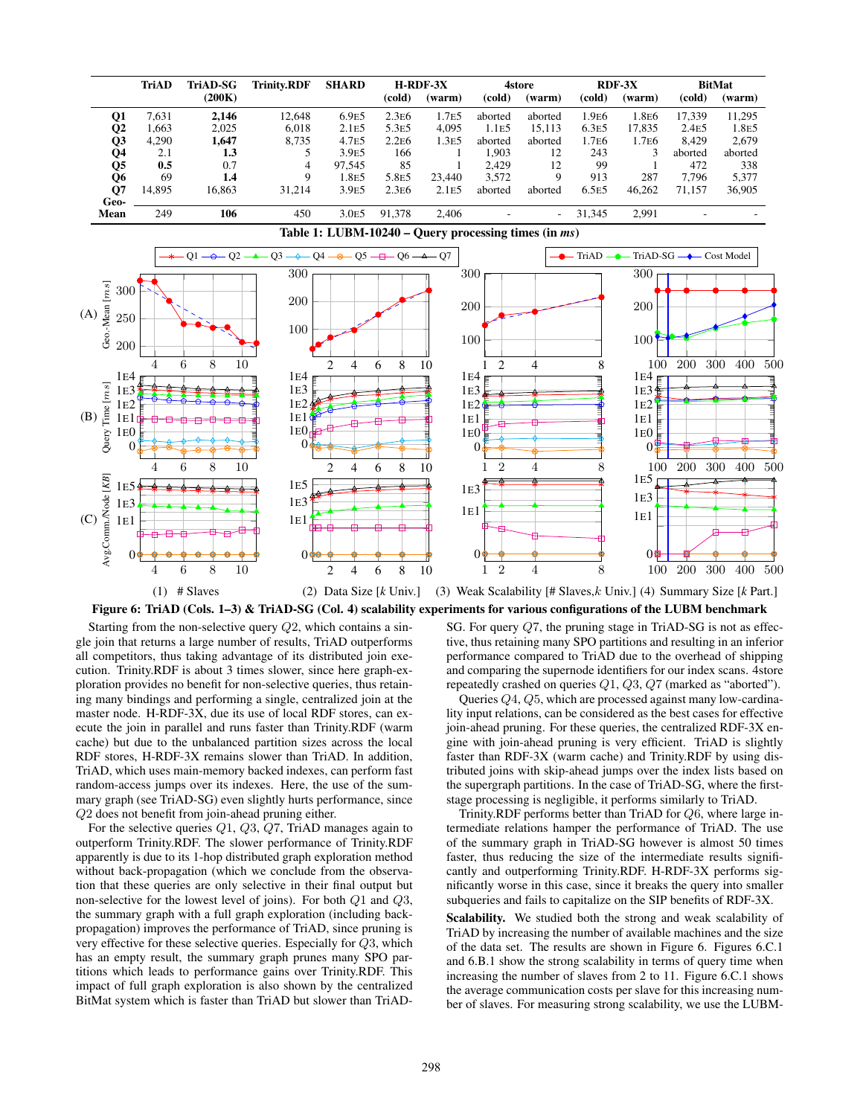



Starting from the non-selective query  $Q2$ , which contains a single join that returns a large number of results, TriAD outperforms all competitors, thus taking advantage of its distributed join execution. Trinity.RDF is about 3 times slower, since here graph-exploration provides no benefit for non-selective queries, thus retaining many bindings and performing a single, centralized join at the master node. H-RDF-3X, due its use of local RDF stores, can execute the join in parallel and runs faster than Trinity.RDF (warm cache) but due to the unbalanced partition sizes across the local RDF stores, H-RDF-3X remains slower than TriAD. In addition, TriAD, which uses main-memory backed indexes, can perform fast random-access jumps over its indexes. Here, the use of the summary graph (see TriAD-SG) even slightly hurts performance, since Q2 does not benefit from join-ahead pruning either.

For the selective queries Q1, Q3, Q7, TriAD manages again to outperform Trinity.RDF. The slower performance of Trinity.RDF apparently is due to its 1-hop distributed graph exploration method without back-propagation (which we conclude from the observation that these queries are only selective in their final output but non-selective for the lowest level of joins). For both Q1 and Q3, the summary graph with a full graph exploration (including backpropagation) improves the performance of TriAD, since pruning is very effective for these selective queries. Especially for Q3, which has an empty result, the summary graph prunes many SPO partitions which leads to performance gains over Trinity.RDF. This impact of full graph exploration is also shown by the centralized BitMat system which is faster than TriAD but slower than TriAD-

SG. For query Q7, the pruning stage in TriAD-SG is not as effective, thus retaining many SPO partitions and resulting in an inferior performance compared to TriAD due to the overhead of shipping and comparing the supernode identifiers for our index scans. 4store repeatedly crashed on queries Q1, Q3, Q7 (marked as "aborted").

Queries Q4, Q5, which are processed against many low-cardinality input relations, can be considered as the best cases for effective join-ahead pruning. For these queries, the centralized RDF-3X engine with join-ahead pruning is very efficient. TriAD is slightly faster than RDF-3X (warm cache) and Trinity.RDF by using distributed joins with skip-ahead jumps over the index lists based on the supergraph partitions. In the case of TriAD-SG, where the firststage processing is negligible, it performs similarly to TriAD.

Trinity.RDF performs better than TriAD for Q6, where large intermediate relations hamper the performance of TriAD. The use of the summary graph in TriAD-SG however is almost 50 times faster, thus reducing the size of the intermediate results significantly and outperforming Trinity.RDF. H-RDF-3X performs significantly worse in this case, since it breaks the query into smaller subqueries and fails to capitalize on the SIP benefits of RDF-3X.

Scalability. We studied both the strong and weak scalability of TriAD by increasing the number of available machines and the size of the data set. The results are shown in Figure 6. Figures 6.C.1 and 6.B.1 show the strong scalability in terms of query time when increasing the number of slaves from 2 to 11. Figure 6.C.1 shows the average communication costs per slave for this increasing number of slaves. For measuring strong scalability, we use the LUBM-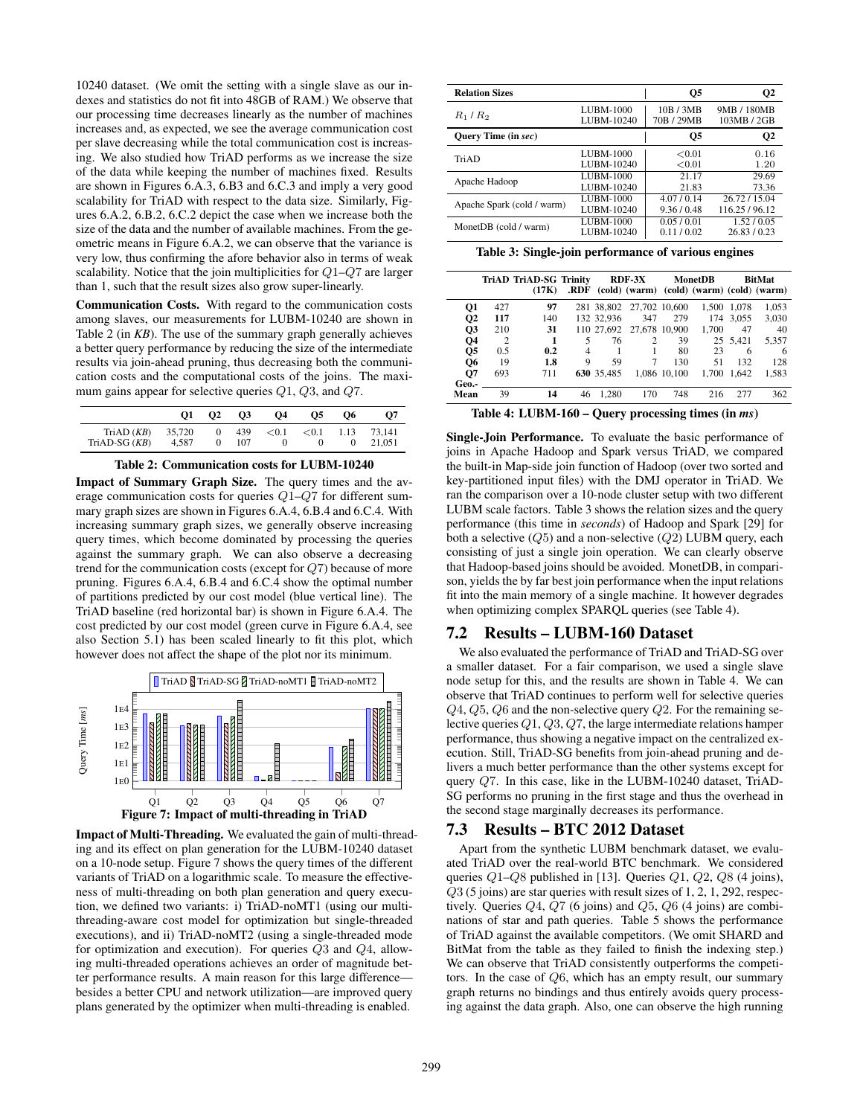10240 dataset. (We omit the setting with a single slave as our indexes and statistics do not fit into 48GB of RAM.) We observe that our processing time decreases linearly as the number of machines increases and, as expected, we see the average communication cost per slave decreasing while the total communication cost is increasing. We also studied how TriAD performs as we increase the size of the data while keeping the number of machines fixed. Results are shown in Figures 6.A.3, 6.B3 and 6.C.3 and imply a very good scalability for TriAD with respect to the data size. Similarly, Figures 6.A.2, 6.B.2, 6.C.2 depict the case when we increase both the size of the data and the number of available machines. From the geometric means in Figure 6.A.2, we can observe that the variance is very low, thus confirming the afore behavior also in terms of weak scalability. Notice that the join multiplicities for Q1–Q7 are larger than 1, such that the result sizes also grow super-linearly.

Communication Costs. With regard to the communication costs among slaves, our measurements for LUBM-10240 are shown in Table 2 (in *KB*). The use of the summary graph generally achieves a better query performance by reducing the size of the intermediate results via join-ahead pruning, thus decreasing both the communication costs and the computational costs of the joins. The maximum gains appear for selective queries Q1, Q3, and Q7.

|                | О1     | <b>O2</b> | <b>O3</b> | O4       | О5       | <b>O6</b> | О7     |
|----------------|--------|-----------|-----------|----------|----------|-----------|--------|
| TriAD(KB)      | 35,720 | $\theta$  | 439       | < 0.1    | < 0.1    | 1.13      | 73.141 |
| $TriAD-SG(KB)$ | 4.587  | 0         | 107       | $^{(1)}$ | $\Omega$ |           | 21.051 |

Table 2: Communication costs for LUBM-10240

Impact of Summary Graph Size. The query times and the average communication costs for queries Q1–Q7 for different summary graph sizes are shown in Figures 6.A.4, 6.B.4 and 6.C.4. With increasing summary graph sizes, we generally observe increasing query times, which become dominated by processing the queries against the summary graph. We can also observe a decreasing trend for the communication costs (except for  $Q7$ ) because of more pruning. Figures 6.A.4, 6.B.4 and 6.C.4 show the optimal number of partitions predicted by our cost model (blue vertical line). The TriAD baseline (red horizontal bar) is shown in Figure 6.A.4. The cost predicted by our cost model (green curve in Figure 6.A.4, see also Section 5.1) has been scaled linearly to fit this plot, which however does not affect the shape of the plot nor its minimum.



Impact of Multi-Threading. We evaluated the gain of multi-threading and its effect on plan generation for the LUBM-10240 dataset on a 10-node setup. Figure 7 shows the query times of the different variants of TriAD on a logarithmic scale. To measure the effectiveness of multi-threading on both plan generation and query execution, we defined two variants: i) TriAD-noMT1 (using our multithreading-aware cost model for optimization but single-threaded executions), and ii) TriAD-noMT2 (using a single-threaded mode for optimization and execution). For queries Q3 and Q4, allowing multi-threaded operations achieves an order of magnitude better performance results. A main reason for this large difference besides a better CPU and network utilization—are improved query plans generated by the optimizer when multi-threading is enabled.

| <b>Relation Sizes</b>      |                  | Ο5        | Q2            |
|----------------------------|------------------|-----------|---------------|
| $R_1/R_2$                  | <b>LUBM-1000</b> | 10B / 3MB | 9MB/180MB     |
|                            | LUBM-10240       | 70B/29MB  | 103MB/2GB     |
| <b>Ouery Time (in sec)</b> |                  | Ο5        | $\mathbf{Q}$  |
| TriAD                      | <b>LUBM-1000</b> | < 0.01    | 0.16          |
|                            | LUBM-10240       | < 0.01    | 1.20          |
| Apache Hadoop              | <b>LUBM-1000</b> | 21.17     | 29.69         |
|                            | LUBM-10240       | 21.83     | 73.36         |
| Apache Spark (cold / warm) | <b>LUBM-1000</b> | 4.07/0.14 | 26.72 / 15.04 |
|                            | LUBM-10240       | 9.36/0.48 | 116.25/96.12  |
| MonetDB (cold / warm)      | <b>LUBM-1000</b> | 0.05/0.01 | 1.52/0.05     |
|                            | LUBM-10240       | 0.11/0.02 | 26.83/0.23    |

|  | Table 3: Single-join performance of various engines |  |
|--|-----------------------------------------------------|--|
|  |                                                     |  |

|                |                | TriAD TriAD-SG Trinity<br>(17K) | .RDF |            | $RDF-3X$<br>(cold) (warm) (cold) (warm) (cold) (warm) |              | <b>MonetDB</b> |               | <b>BitMat</b> |
|----------------|----------------|---------------------------------|------|------------|-------------------------------------------------------|--------------|----------------|---------------|---------------|
| Q1             | 427            | 97                              |      | 281 38,802 | 27,702 10,600                                         |              |                | 1,500 1,078   | 1,053         |
| Q <sub>2</sub> | 117            | 140                             |      | 132 32.936 | 347                                                   | 279          |                | 174 3,055     | 3,030         |
| Q3             | 210            | 31                              |      | 110 27,692 | 27,678 10,900                                         |              | 1.700          | 47            | 40            |
| Q4             | $\overline{2}$ | 1                               | 5    | 76         | $\mathfrak{D}$                                        | 39           |                | 25 5.421      | 5,357         |
| Ο5             | 0.5            | 0.2                             | 4    |            |                                                       | 80           | 23             | 6             | 6             |
| O6             | 19             | 1.8                             | 9    | 59         | 7                                                     | 130          | 51             | 132           | 128           |
| Ο7             | 693            | 711                             |      | 630 35.485 |                                                       | 1.086 10.100 |                | 1.700 1.642   | 1,583         |
| Geo.-          |                |                                 |      |            |                                                       |              |                |               |               |
| Mean           | 39             | 14                              | 46   | 1.280      | 170                                                   | 748          | 216            | 277           | 362           |
| ---            |                |                                 | $ -$ | $\sim$     |                                                       | $\sim$       | $\sim$ $\sim$  | $\sim$ $\sim$ |               |

Table 4: LUBM-160 – Query processing times (in *ms*)

Single-Join Performance. To evaluate the basic performance of joins in Apache Hadoop and Spark versus TriAD, we compared the built-in Map-side join function of Hadoop (over two sorted and key-partitioned input files) with the DMJ operator in TriAD. We ran the comparison over a 10-node cluster setup with two different LUBM scale factors. Table 3 shows the relation sizes and the query performance (this time in *seconds*) of Hadoop and Spark [29] for both a selective  $(Q5)$  and a non-selective  $(Q2)$  LUBM query, each consisting of just a single join operation. We can clearly observe that Hadoop-based joins should be avoided. MonetDB, in comparison, yields the by far best join performance when the input relations fit into the main memory of a single machine. It however degrades when optimizing complex SPARQL queries (see Table 4).

# 7.2 Results – LUBM-160 Dataset

We also evaluated the performance of TriAD and TriAD-SG over a smaller dataset. For a fair comparison, we used a single slave node setup for this, and the results are shown in Table 4. We can observe that TriAD continues to perform well for selective queries  $Q_4$ ,  $Q_5$ ,  $Q_6$  and the non-selective query  $Q_2$ . For the remaining selective queries Q1, Q3, Q7, the large intermediate relations hamper performance, thus showing a negative impact on the centralized execution. Still, TriAD-SG benefits from join-ahead pruning and delivers a much better performance than the other systems except for query Q7. In this case, like in the LUBM-10240 dataset, TriAD-SG performs no pruning in the first stage and thus the overhead in the second stage marginally decreases its performance.

## 7.3 Results – BTC 2012 Dataset

Apart from the synthetic LUBM benchmark dataset, we evaluated TriAD over the real-world BTC benchmark. We considered queries  $Q1-Q8$  published in [13]. Queries  $Q1$ ,  $Q2$ ,  $Q8$  (4 joins), Q3 (5 joins) are star queries with result sizes of 1, 2, 1, 292, respectively. Queries Q4, Q7 (6 joins) and Q5, Q6 (4 joins) are combinations of star and path queries. Table 5 shows the performance of TriAD against the available competitors. (We omit SHARD and BitMat from the table as they failed to finish the indexing step.) We can observe that TriAD consistently outperforms the competitors. In the case of Q6, which has an empty result, our summary graph returns no bindings and thus entirely avoids query processing against the data graph. Also, one can observe the high running